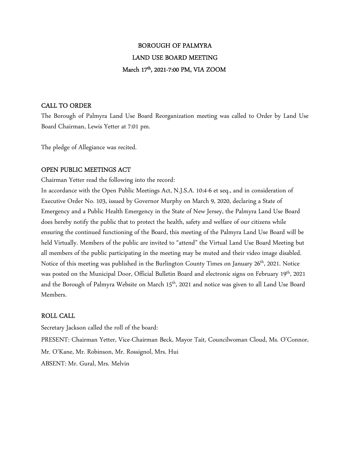## BOROUGH OF PALMYRA LAND USE BOARD MEETING March 17th, 2021-7:00 PM, VIA ZOOM

### CALL TO ORDER

The Borough of Palmyra Land Use Board Reorganization meeting was called to Order by Land Use Board Chairman, Lewis Yetter at 7:01 pm.

The pledge of Allegiance was recited.

## OPEN PUBLIC MEETINGS ACT

Chairman Yetter read the following into the record:

In accordance with the Open Public Meetings Act, N.J.S.A. 10:4-6 et seq., and in consideration of Executive Order No. 103, issued by Governor Murphy on March 9, 2020, declaring a State of Emergency and a Public Health Emergency in the State of New Jersey, the Palmyra Land Use Board does hereby notify the public that to protect the health, safety and welfare of our citizens while ensuring the continued functioning of the Board, this meeting of the Palmyra Land Use Board will be held Virtually. Members of the public are invited to "attend" the Virtual Land Use Board Meeting but all members of the public participating in the meeting may be muted and their video image disabled. Notice of this meeting was published in the Burlington County Times on January 26<sup>th</sup>, 2021. Notice was posted on the Municipal Door, Official Bulletin Board and electronic signs on February 19<sup>th</sup>, 2021 and the Borough of Palmyra Website on March 15<sup>th</sup>, 2021 and notice was given to all Land Use Board Members.

### ROLL CALL

Secretary Jackson called the roll of the board: PRESENT: Chairman Yetter, Vice-Chairman Beck, Mayor Tait, Councilwoman Cloud, Ms. O'Connor, Mr. O'Kane, Mr. Robinson, Mr. Rossignol, Mrs. Hui ABSENT: Mr. Gural, Mrs. Melvin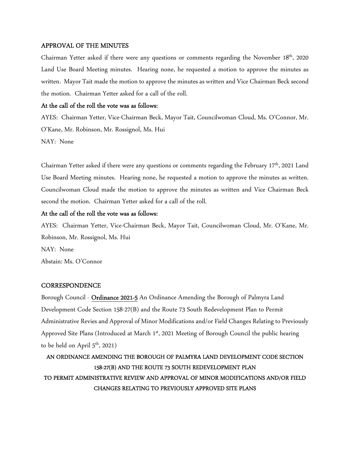#### APPROVAL OF THE MINUTES

Chairman Yetter asked if there were any questions or comments regarding the November 18th, 2020 Land Use Board Meeting minutes. Hearing none, he requested a motion to approve the minutes as written. Mayor Tait made the motion to approve the minutes as written and Vice Chairman Beck second the motion. Chairman Yetter asked for a call of the roll.

#### At the call of the roll the vote was as follows:

AYES: Chairman Yetter, Vice-Chairman Beck, Mayor Tait, Councilwoman Cloud, Ms. O'Connor, Mr. O'Kane, Mr. Robinson, Mr. Rossignol, Ms. Hui NAY: None

Chairman Yetter asked if there were any questions or comments regarding the February 17<sup>th</sup>, 2021 Land Use Board Meeting minutes. Hearing none, he requested a motion to approve the minutes as written. Councilwoman Cloud made the motion to approve the minutes as written and Vice Chairman Beck second the motion. Chairman Yetter asked for a call of the roll.

#### At the call of the roll the vote was as follows:

AYES: Chairman Yetter, Vice-Chairman Beck, Mayor Tait, Councilwoman Cloud, Mr. O'Kane, Mr. Robinson, Mr. Rossignol, Ms. Hui NAY: None Abstain: Ms. O'Connor

#### **CORRESPONDENCE**

Borough Council - Ordinance 2021-5 An Ordinance Amending the Borough of Palmyra Land Development Code Section 158-27(B) and the Route 73 South Redevelopment Plan to Permit Administrative Revies and Approval of Minor Modifications and/or Field Changes Relating to Previously Approved Site Plans (Introduced at March  $1<sup>st</sup>$ , 2021 Meeting of Borough Council the public hearing to be held on April  $5<sup>th</sup>$ , 2021)

## AN ORDINANCE AMENDING THE BOROUGH OF PALMYRA LAND DEVELOPMENT CODE SECTION 158-27(B) AND THE ROUTE 73 SOUTH REDEVELOPMENT PLAN TO PERMIT ADMINISTRATIVE REVIEW AND APPROVAL OF MINOR MODIFICATIONS AND/OR FIELD CHANGES RELATING TO PREVIOUSLY APPROVED SITE PLANS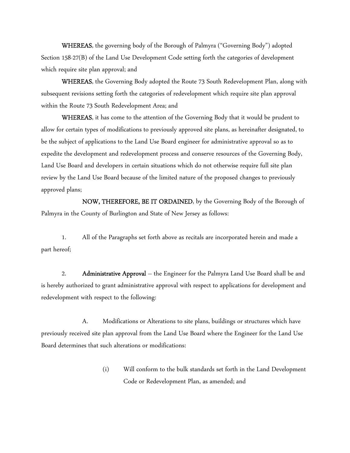WHEREAS, the governing body of the Borough of Palmyra ("Governing Body") adopted Section 158-27(B) of the Land Use Development Code setting forth the categories of development which require site plan approval; and

WHEREAS, the Governing Body adopted the Route 73 South Redevelopment Plan, along with subsequent revisions setting forth the categories of redevelopment which require site plan approval within the Route 73 South Redevelopment Area; and

WHEREAS, it has come to the attention of the Governing Body that it would be prudent to allow for certain types of modifications to previously approved site plans, as hereinafter designated, to be the subject of applications to the Land Use Board engineer for administrative approval so as to expedite the development and redevelopment process and conserve resources of the Governing Body, Land Use Board and developers in certain situations which do not otherwise require full site plan review by the Land Use Board because of the limited nature of the proposed changes to previously approved plans;

 NOW, THEREFORE, BE IT ORDAINED, by the Governing Body of the Borough of Palmyra in the County of Burlington and State of New Jersey as follows:

 1. All of the Paragraphs set forth above as recitals are incorporated herein and made a part hereof;

2. Administrative Approval – the Engineer for the Palmyra Land Use Board shall be and is hereby authorized to grant administrative approval with respect to applications for development and redevelopment with respect to the following:

 A. Modifications or Alterations to site plans, buildings or structures which have previously received site plan approval from the Land Use Board where the Engineer for the Land Use Board determines that such alterations or modifications:

> (i) Will conform to the bulk standards set forth in the Land Development Code or Redevelopment Plan, as amended; and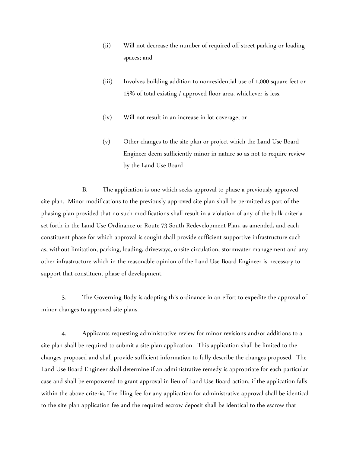- (ii) Will not decrease the number of required off-street parking or loading spaces; and
- (iii) Involves building addition to nonresidential use of 1,000 square feet or 15% of total existing / approved floor area, whichever is less.
- (iv) Will not result in an increase in lot coverage; or
- (v) Other changes to the site plan or project which the Land Use Board Engineer deem sufficiently minor in nature so as not to require review by the Land Use Board

 B. The application is one which seeks approval to phase a previously approved site plan. Minor modifications to the previously approved site plan shall be permitted as part of the phasing plan provided that no such modifications shall result in a violation of any of the bulk criteria set forth in the Land Use Ordinance or Route 73 South Redevelopment Plan, as amended, and each constituent phase for which approval is sought shall provide sufficient supportive infrastructure such as, without limitation, parking, loading, driveways, onsite circulation, stormwater management and any other infrastructure which in the reasonable opinion of the Land Use Board Engineer is necessary to support that constituent phase of development.

 3. The Governing Body is adopting this ordinance in an effort to expedite the approval of minor changes to approved site plans.

 4. Applicants requesting administrative review for minor revisions and/or additions to a site plan shall be required to submit a site plan application. This application shall be limited to the changes proposed and shall provide sufficient information to fully describe the changes proposed. The Land Use Board Engineer shall determine if an administrative remedy is appropriate for each particular case and shall be empowered to grant approval in lieu of Land Use Board action, if the application falls within the above criteria. The filing fee for any application for administrative approval shall be identical to the site plan application fee and the required escrow deposit shall be identical to the escrow that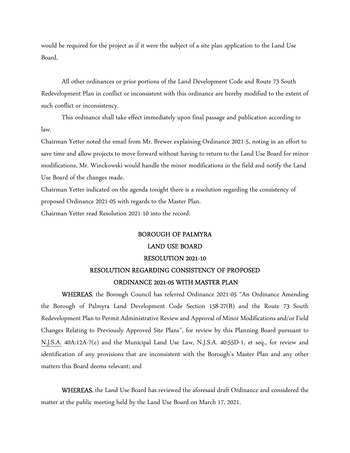would be required for the project as if it were the subject of a site plan application to the Land Use Board.

 All other ordinances or prior portions of the Land Development Code and Route 73 South Redevelopment Plan in conflict or inconsistent with this ordinance are hereby modified to the extent of such conflict or inconsistency.

 This ordinance shall take effect immediately upon final passage and publication according to law.

Chairman Yetter noted the email from Mr. Brewer explaining Ordinance 2021-5, noting in an effort to save time and allow projects to move forward without having to return to the Land Use Board for minor modifications, Mr. Winckowski would handle the minor modifications in the field and notify the Land Use Board of the changes made.

Chairman Yetter indicated on the agenda tonight there is a resolution regarding the consistency of proposed Ordinance 2021-05 with regards to the Master Plan.

Chairman Yetter read Resolution 2021-10 into the record:

# BOROUGH OF PALMYRA LAND USE BOARD RESOLUTION 2021-10 RESOLUTION REGARDING CONSISTENCY OF PROPOSED ORDINANCE 2021-05 WITH MASTER PLAN

WHEREAS, the Borough Council has referred Ordinance 2021-05 "An Ordinance Amending the Borough of Palmyra Land Development Code Section 158-27(B) and the Route 73 South Redevelopment Plan to Permit Administrative Review and Approval of Minor Modifications and/or Field Changes Relating to Previously Approved Site Plans", for review by this Planning Board pursuant to N.J.S.A. 40A:12A-7(e) and the Municipal Land Use Law, N.J.S.A. 40:55D-1, et seq., for review and identification of any provisions that are inconsistent with the Borough's Master Plan and any other matters this Board deems relevant; and

WHEREAS, the Land Use Board has reviewed the aforesaid draft Ordinance and considered the matter at the public meeting held by the Land Use Board on March 17, 2021.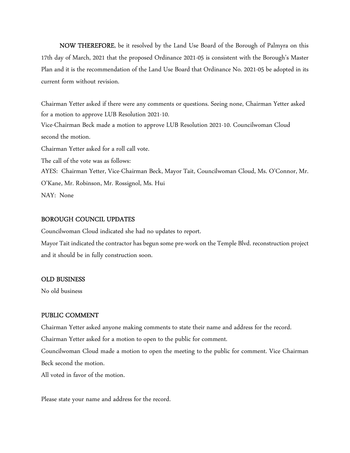NOW THEREFORE, be it resolved by the Land Use Board of the Borough of Palmyra on this 17th day of March, 2021 that the proposed Ordinance 2021-05 is consistent with the Borough's Master Plan and it is the recommendation of the Land Use Board that Ordinance No. 2021-05 be adopted in its current form without revision.

Chairman Yetter asked if there were any comments or questions. Seeing none, Chairman Yetter asked for a motion to approve LUB Resolution 2021-10. Vice-Chairman Beck made a motion to approve LUB Resolution 2021-10. Councilwoman Cloud second the motion. Chairman Yetter asked for a roll call vote. The call of the vote was as follows: AYES: Chairman Yetter, Vice-Chairman Beck, Mayor Tait, Councilwoman Cloud, Ms. O'Connor, Mr. O'Kane, Mr. Robinson, Mr. Rossignol, Ms. Hui NAY: None

#### BOROUGH COUNCIL UPDATES

Councilwoman Cloud indicated she had no updates to report.

Mayor Tait indicated the contractor has begun some pre-work on the Temple Blvd. reconstruction project and it should be in fully construction soon.

#### OLD BUSINESS

No old business

#### PUBLIC COMMENT

Chairman Yetter asked anyone making comments to state their name and address for the record.

Chairman Yetter asked for a motion to open to the public for comment.

Councilwoman Cloud made a motion to open the meeting to the public for comment. Vice Chairman Beck second the motion.

All voted in favor of the motion.

Please state your name and address for the record.